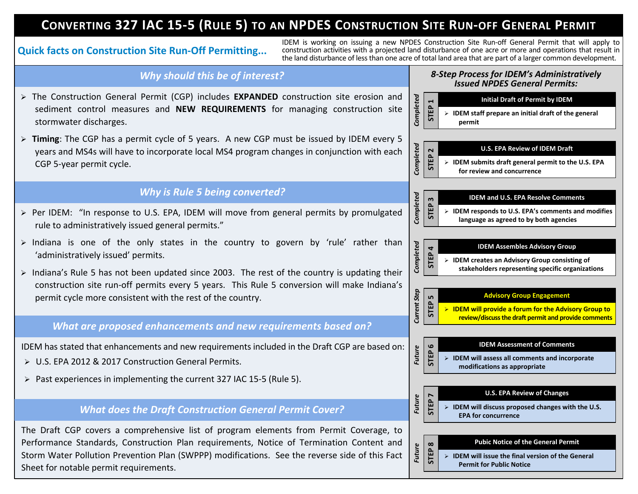# CONVERTING 327 IAC 15-5 (RULE 5) TO AN NPDES CONSTRUCTION SITE RUN-OFF GENERAL PERMIT

IDEM is working on issuing a new NPDES Construction Site Run-off General Permit that will apply to<br>Quick facts on Construction Site Run-Off Permitting... construction activities with a projected land disturbance of one acr the land disturbance of lessthan one acre of total land area that are part of a larger common development.

# *Why should this be of interest?*

- Ø The Construction General Permit (CGP) includes **EXPANDED** construction site erosion and sediment control measures and **NEW REQUIREMENTS** for managing construction site stormwater discharges.
- Ø **Timing**: The CGP has a permit cycle of 5 years. A new CGP must be issued by IDEM every 5 years and MS4s will have to incorporate local MS4 program changes in conjunction with each CGP 5-year permit cycle.

# *Why is Rule 5 being converted?*

- $\triangleright$  Per IDEM: "In response to U.S. EPA, IDEM will move from general permits by promulgated rule to administratively issued general permits."
- $\triangleright$  Indiana is one of the only states in the country to govern by 'rule' rather than 'administratively issued' permits.
- $\triangleright$  Indiana's Rule 5 has not been updated since 2003. The rest of the country is updating their construction site run-off permits every 5 years. This Rule 5 conversion will make Indiana's permit cycle more consistent with the rest of the country.

### *What are proposed enhancements and new requirements based on?*

IDEM has stated that enhancements and new requirements included in the Draft CGP are based on:

- Ø U.S. EPA 2012 & 2017 Construction General Permits.
- Ø Past experiences in implementing the current 327 IAC 15-5 (Rule 5).

## *What does the Draft Construction General Permit Cover?*

The Draft CGP covers a comprehensive list of program elements from Permit Coverage, to Performance Standards, Construction Plan requirements, Notice of Termination Content and Storm Water Pollution Prevention Plan (SWPPP) modifications. See the reverse side of this Fact Sheet for notable permit requirements.

#### *8-Step Process for IDEM's Administratively Issued NPDES General Permits:*